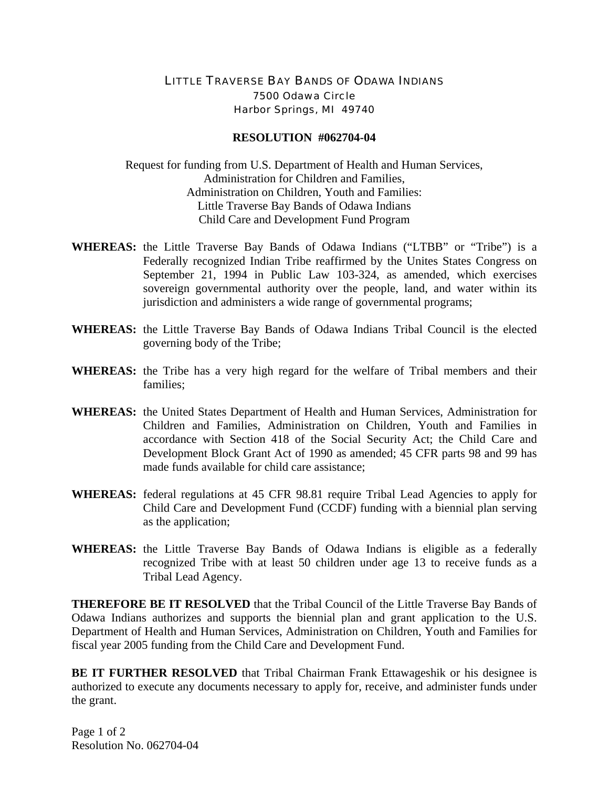## LITTLE TRAVERSE BAY BANDS OF ODAWA INDIANS 7500 Odawa Circle Harbor Springs, MI 49740

## **RESOLUTION #062704-04**

Request for funding from U.S. Department of Health and Human Services, Administration for Children and Families, Administration on Children, Youth and Families: Little Traverse Bay Bands of Odawa Indians Child Care and Development Fund Program

- **WHEREAS:** the Little Traverse Bay Bands of Odawa Indians ("LTBB" or "Tribe") is a Federally recognized Indian Tribe reaffirmed by the Unites States Congress on September 21, 1994 in Public Law 103-324, as amended, which exercises sovereign governmental authority over the people, land, and water within its jurisdiction and administers a wide range of governmental programs;
- **WHEREAS:** the Little Traverse Bay Bands of Odawa Indians Tribal Council is the elected governing body of the Tribe;
- **WHEREAS:** the Tribe has a very high regard for the welfare of Tribal members and their families;
- **WHEREAS:** the United States Department of Health and Human Services, Administration for Children and Families, Administration on Children, Youth and Families in accordance with Section 418 of the Social Security Act; the Child Care and Development Block Grant Act of 1990 as amended; 45 CFR parts 98 and 99 has made funds available for child care assistance;
- **WHEREAS:** federal regulations at 45 CFR 98.81 require Tribal Lead Agencies to apply for Child Care and Development Fund (CCDF) funding with a biennial plan serving as the application;
- **WHEREAS:** the Little Traverse Bay Bands of Odawa Indians is eligible as a federally recognized Tribe with at least 50 children under age 13 to receive funds as a Tribal Lead Agency.

**THEREFORE BE IT RESOLVED** that the Tribal Council of the Little Traverse Bay Bands of Odawa Indians authorizes and supports the biennial plan and grant application to the U.S. Department of Health and Human Services, Administration on Children, Youth and Families for fiscal year 2005 funding from the Child Care and Development Fund.

**BE IT FURTHER RESOLVED** that Tribal Chairman Frank Ettawageshik or his designee is authorized to execute any documents necessary to apply for, receive, and administer funds under the grant.

Page 1 of 2 Resolution No. 062704-04